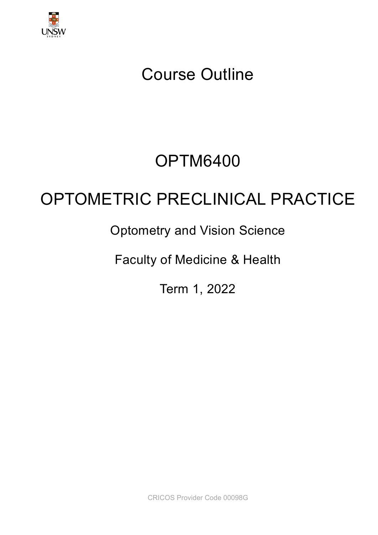

# Course Outline

# OPTM6400

# OPTOMETRIC PRECLINICAL PRACTICE

## Optometry and Vision Science

Faculty of Medicine & Health

Term 1, 2022

CRICOS Provider Code 00098G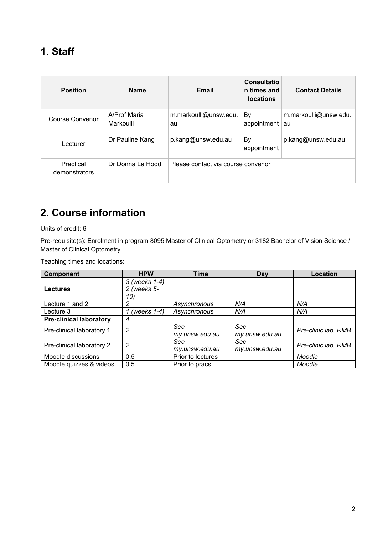| <b>Position</b>            | <b>Name</b>               | Email                              | Consultatio<br>n times and<br><b>locations</b> | <b>Contact Details</b> |
|----------------------------|---------------------------|------------------------------------|------------------------------------------------|------------------------|
| Course Convenor            | A/Prof Maria<br>Markoulli | m.markoulli@unsw.edu.<br>au        | By<br>appointment $ au$                        | m.markoulli@unsw.edu.  |
| Lecturer                   | Dr Pauline Kang           | p.kang@unsw.edu.au                 | By<br>appointment                              | p.kang@unsw.edu.au     |
| Practical<br>demonstrators | Dr Donna La Hood          | Please contact via course convenor |                                                |                        |

## **2. Course information**

Units of credit: 6

Pre-requisite(s): Enrolment in program 8095 Master of Clinical Optometry or 3182 Bachelor of Vision Science / Master of Clinical Optometry

Teaching times and locations:

| <b>Component</b>               | <b>HPW</b>                          | <b>Time</b>           | Day                   | Location            |
|--------------------------------|-------------------------------------|-----------------------|-----------------------|---------------------|
| <b>Lectures</b>                | 3 (weeks 1-4)<br>2 (weeks 5-<br>10) |                       |                       |                     |
| Lecture 1 and 2                | 2                                   | Asynchronous          | N/A                   | N/A                 |
| Lecture 3                      | (weeks $1-4$ )                      | Asynchronous          | N/A                   | N/A                 |
| <b>Pre-clinical laboratory</b> | 4                                   |                       |                       |                     |
| Pre-clinical laboratory 1      | 2                                   | See<br>my.unsw.edu.au | See<br>my.unsw.edu.au | Pre-clinic lab, RMB |
| Pre-clinical laboratory 2      | 2                                   | See<br>my.unsw.edu.au | See<br>my.unsw.edu.au | Pre-clinic lab, RMB |
| Moodle discussions             | 0.5                                 | Prior to lectures     |                       | Moodle              |
| Moodle quizzes & videos        | 0.5                                 | Prior to pracs        |                       | Moodle              |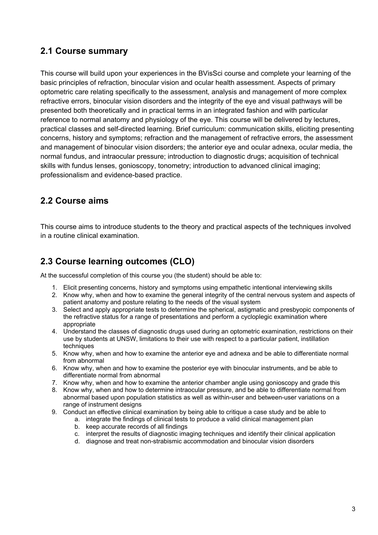## **2.1 Course summary**

This course will build upon your experiences in the BVisSci course and complete your learning of the basic principles of refraction, binocular vision and ocular health assessment. Aspects of primary optometric care relating specifically to the assessment, analysis and management of more complex refractive errors, binocular vision disorders and the integrity of the eye and visual pathways will be presented both theoretically and in practical terms in an integrated fashion and with particular reference to normal anatomy and physiology of the eye. This course will be delivered by lectures, practical classes and self-directed learning. Brief curriculum: communication skills, eliciting presenting concerns, history and symptoms; refraction and the management of refractive errors, the assessment and management of binocular vision disorders; the anterior eye and ocular adnexa, ocular media, the normal fundus, and intraocular pressure; introduction to diagnostic drugs; acquisition of technical skills with fundus lenses, gonioscopy, tonometry; introduction to advanced clinical imaging; professionalism and evidence-based practice.

## **2.2 Course aims**

This course aims to introduce students to the theory and practical aspects of the techniques involved in a routine clinical examination.

## **2.3 Course learning outcomes (CLO)**

At the successful completion of this course you (the student) should be able to:

- 1. Elicit presenting concerns, history and symptoms using empathetic intentional interviewing skills
- 2. Know why, when and how to examine the general integrity of the central nervous system and aspects of patient anatomy and posture relating to the needs of the visual system
- 3. Select and apply appropriate tests to determine the spherical, astigmatic and presbyopic components of the refractive status for a range of presentations and perform a cycloplegic examination where appropriate
- 4. Understand the classes of diagnostic drugs used during an optometric examination, restrictions on their use by students at UNSW, limitations to their use with respect to a particular patient, instillation techniques
- 5. Know why, when and how to examine the anterior eye and adnexa and be able to differentiate normal from abnormal
- 6. Know why, when and how to examine the posterior eye with binocular instruments, and be able to differentiate normal from abnormal
- 7. Know why, when and how to examine the anterior chamber angle using gonioscopy and grade this
- 8. Know why, when and how to determine intraocular pressure, and be able to differentiate normal from abnormal based upon population statistics as well as within-user and between-user variations on a range of instrument designs
- 9. Conduct an effective clinical examination by being able to critique a case study and be able to
	- a. integrate the findings of clinical tests to produce a valid clinical management plan
		- b. keep accurate records of all findings
		- c. interpret the results of diagnostic imaging techniques and identify their clinical application
		- d. diagnose and treat non-strabismic accommodation and binocular vision disorders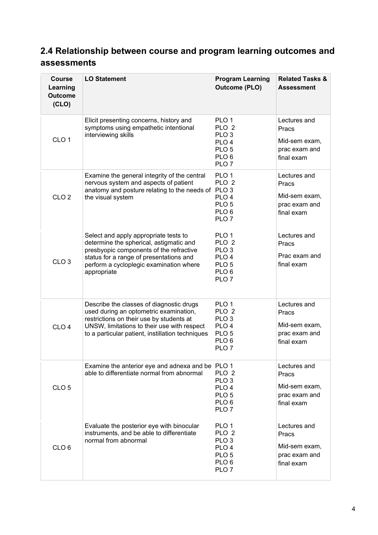## **2.4 Relationship between course and program learning outcomes and assessments**

| <b>Course</b><br>Learning<br><b>Outcome</b><br>(CLO) | <b>LO Statement</b>                                                                                                                                                                                                               | <b>Program Learning</b><br><b>Outcome (PLO)</b>                                                                                          | <b>Related Tasks &amp;</b><br><b>Assessment</b>                       |
|------------------------------------------------------|-----------------------------------------------------------------------------------------------------------------------------------------------------------------------------------------------------------------------------------|------------------------------------------------------------------------------------------------------------------------------------------|-----------------------------------------------------------------------|
| CLO <sub>1</sub>                                     | Elicit presenting concerns, history and<br>symptoms using empathetic intentional<br>interviewing skills                                                                                                                           | PLO <sub>1</sub><br>PLO <sub>2</sub><br>PLO <sub>3</sub><br>PLO <sub>4</sub><br>PLO <sub>5</sub><br>PLO <sub>6</sub><br>PLO <sub>7</sub> | Lectures and<br>Pracs<br>Mid-sem exam,<br>prac exam and<br>final exam |
| CLO <sub>2</sub>                                     | Examine the general integrity of the central<br>nervous system and aspects of patient<br>anatomy and posture relating to the needs of PLO 3<br>the visual system                                                                  | PLO <sub>1</sub><br>PLO <sub>2</sub><br>PLO <sub>4</sub><br>PLO <sub>5</sub><br>PLO <sub>6</sub><br>PLO <sub>7</sub>                     | Lectures and<br>Pracs<br>Mid-sem exam,<br>prac exam and<br>final exam |
| CLO <sub>3</sub>                                     | Select and apply appropriate tests to<br>determine the spherical, astigmatic and<br>presbyopic components of the refractive<br>status for a range of presentations and<br>perform a cycloplegic examination where<br>appropriate  | PLO <sub>1</sub><br>PLO <sub>2</sub><br>PLO <sub>3</sub><br>PLO <sub>4</sub><br>PLO <sub>5</sub><br>PLO <sub>6</sub><br>PLO <sub>7</sub> | Lectures and<br>Pracs<br>Prac exam and<br>final exam                  |
| CLO <sub>4</sub>                                     | Describe the classes of diagnostic drugs<br>used during an optometric examination,<br>restrictions on their use by students at<br>UNSW, limitations to their use with respect<br>to a particular patient, instillation techniques | PLO 1<br>PLO <sub>2</sub><br>PLO <sub>3</sub><br>PLO <sub>4</sub><br>PLO <sub>5</sub><br>PLO <sub>6</sub><br>PLO <sub>7</sub>            | Lectures and<br>Pracs<br>Mid-sem exam,<br>prac exam and<br>final exam |
| CLO <sub>5</sub>                                     | Examine the anterior eye and adnexa and be PLO 1<br>able to differentiate normal from abnormal                                                                                                                                    | PLO <sub>2</sub><br>PLO <sub>3</sub><br>PLO <sub>4</sub><br>PLO <sub>5</sub><br>PLO <sub>6</sub><br>PLO <sub>7</sub>                     | Lectures and<br>Pracs<br>Mid-sem exam,<br>prac exam and<br>final exam |
| CLO <sub>6</sub>                                     | Evaluate the posterior eye with binocular<br>instruments, and be able to differentiate<br>normal from abnormal                                                                                                                    | PLO <sub>1</sub><br>PLO <sub>2</sub><br>PLO <sub>3</sub><br>PLO <sub>4</sub><br>PLO <sub>5</sub><br>PLO <sub>6</sub><br>PLO <sub>7</sub> | Lectures and<br>Pracs<br>Mid-sem exam,<br>prac exam and<br>final exam |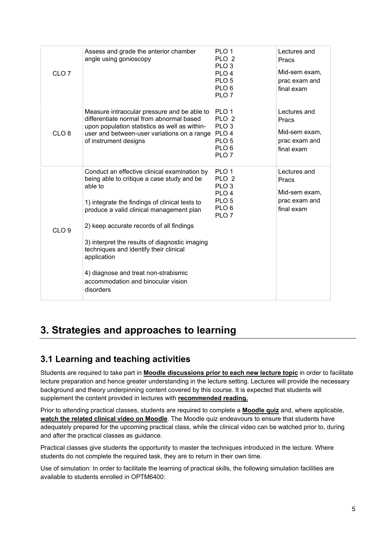| CLO <sub>7</sub> | Assess and grade the anterior chamber<br>angle using gonioscopy                                                                                                                                                                                                                                                                                                                                                                                       | PLO <sub>1</sub><br>PLO <sub>2</sub><br>PLO <sub>3</sub><br>PLO <sub>4</sub><br>PLO <sub>5</sub><br>PLO <sub>6</sub><br>PLO <sub>7</sub> | Lectures and<br>Pracs<br>Mid-sem exam,<br>prac exam and<br>final exam |
|------------------|-------------------------------------------------------------------------------------------------------------------------------------------------------------------------------------------------------------------------------------------------------------------------------------------------------------------------------------------------------------------------------------------------------------------------------------------------------|------------------------------------------------------------------------------------------------------------------------------------------|-----------------------------------------------------------------------|
| CLO <sub>8</sub> | Measure intraocular pressure and be able to<br>differentiate normal from abnormal based<br>upon population statistics as well as within-<br>user and between-user variations on a range<br>of instrument designs                                                                                                                                                                                                                                      | PLO <sub>1</sub><br>PLO <sub>2</sub><br>PLO <sub>3</sub><br>PLO <sub>4</sub><br>PLO <sub>5</sub><br>PLO <sub>6</sub><br>PLO <sub>7</sub> | Lectures and<br>Pracs<br>Mid-sem exam,<br>prac exam and<br>final exam |
| CLO <sub>9</sub> | Conduct an effective clinical examination by<br>being able to critique a case study and be<br>able to<br>1) integrate the findings of clinical tests to<br>produce a valid clinical management plan<br>2) keep accurate records of all findings<br>3) interpret the results of diagnostic imaging<br>techniques and identify their clinical<br>application<br>4) diagnose and treat non-strabismic<br>accommodation and binocular vision<br>disorders | PLO <sub>1</sub><br>PLO <sub>2</sub><br>PLO <sub>3</sub><br>PLO <sub>4</sub><br>PLO <sub>5</sub><br>PLO <sub>6</sub><br>PLO <sub>7</sub> | Lectures and<br>Pracs<br>Mid-sem exam,<br>prac exam and<br>final exam |

## **3. Strategies and approaches to learning**

## **3.1 Learning and teaching activities**

Students are required to take part in **Moodle discussions prior to each new lecture topic** in order to facilitate lecture preparation and hence greater understanding in the lecture setting. Lectures will provide the necessary background and theory underpinning content covered by this course. It is expected that students will supplement the content provided in lectures with **recommended reading.**

Prior to attending practical classes, students are required to complete a **Moodle quiz** and, where applicable, **watch the related clinical video on Moodle**. The Moodle quiz endeavours to ensure that students have adequately prepared for the upcoming practical class, while the clinical video can be watched prior to, during and after the practical classes as guidance.

Practical classes give students the opportunity to master the techniques introduced in the lecture. Where students do not complete the required task, they are to return in their own time.

Use of simulation: In order to facilitate the learning of practical skills, the following simulation facilities are available to students enrolled in OPTM6400: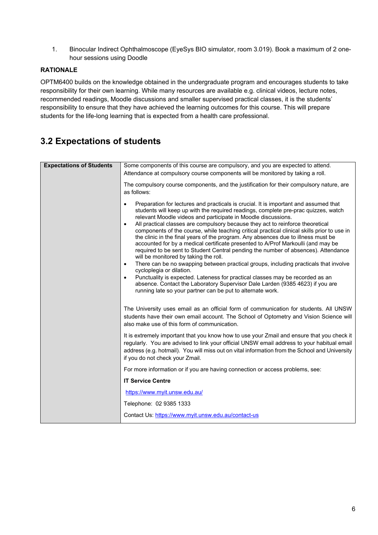1. Binocular Indirect Ophthalmoscope (EyeSys BIO simulator, room 3.019). Book a maximum of 2 onehour sessions using Doodle

#### **RATIONALE**

OPTM6400 builds on the knowledge obtained in the undergraduate program and encourages students to take responsibility for their own learning. While many resources are available e.g. clinical videos, lecture notes, recommended readings, Moodle discussions and smaller supervised practical classes, it is the students' responsibility to ensure that they have achieved the learning outcomes for this course. This will prepare students for the life-long learning that is expected from a health care professional.

## **3.2 Expectations of students**

| <b>Expectations of Students</b> | Some components of this course are compulsory, and you are expected to attend.                                                                                                                                                                                                                                                                                                                                                                                                                                                                                                                                                                                                                                                                                                                                                                                                                                                                                                                                                                                                                                                               |
|---------------------------------|----------------------------------------------------------------------------------------------------------------------------------------------------------------------------------------------------------------------------------------------------------------------------------------------------------------------------------------------------------------------------------------------------------------------------------------------------------------------------------------------------------------------------------------------------------------------------------------------------------------------------------------------------------------------------------------------------------------------------------------------------------------------------------------------------------------------------------------------------------------------------------------------------------------------------------------------------------------------------------------------------------------------------------------------------------------------------------------------------------------------------------------------|
|                                 | Attendance at compulsory course components will be monitored by taking a roll.                                                                                                                                                                                                                                                                                                                                                                                                                                                                                                                                                                                                                                                                                                                                                                                                                                                                                                                                                                                                                                                               |
|                                 | The compulsory course components, and the justification for their compulsory nature, are<br>as follows:                                                                                                                                                                                                                                                                                                                                                                                                                                                                                                                                                                                                                                                                                                                                                                                                                                                                                                                                                                                                                                      |
|                                 | Preparation for lectures and practicals is crucial. It is important and assumed that<br>$\bullet$<br>students will keep up with the required readings, complete pre-prac quizzes, watch<br>relevant Moodle videos and participate in Moodle discussions.<br>All practical classes are compulsory because they act to reinforce theoretical<br>$\bullet$<br>components of the course, while teaching critical practical clinical skills prior to use in<br>the clinic in the final years of the program. Any absences due to illness must be<br>accounted for by a medical certificate presented to A/Prof Markoulli (and may be<br>required to be sent to Student Central pending the number of absences). Attendance<br>will be monitored by taking the roll.<br>There can be no swapping between practical groups, including practicals that involve<br>$\bullet$<br>cycloplegia or dilation.<br>Punctuality is expected. Lateness for practical classes may be recorded as an<br>$\bullet$<br>absence. Contact the Laboratory Supervisor Dale Larden (9385 4623) if you are<br>running late so your partner can be put to alternate work. |
|                                 | The University uses email as an official form of communication for students. All UNSW<br>students have their own email account. The School of Optometry and Vision Science will<br>also make use of this form of communication.                                                                                                                                                                                                                                                                                                                                                                                                                                                                                                                                                                                                                                                                                                                                                                                                                                                                                                              |
|                                 | It is extremely important that you know how to use your Zmail and ensure that you check it<br>regularly. You are advised to link your official UNSW email address to your habitual email<br>address (e.g. hotmail). You will miss out on vital information from the School and University<br>if you do not check your Zmail.                                                                                                                                                                                                                                                                                                                                                                                                                                                                                                                                                                                                                                                                                                                                                                                                                 |
|                                 | For more information or if you are having connection or access problems, see:                                                                                                                                                                                                                                                                                                                                                                                                                                                                                                                                                                                                                                                                                                                                                                                                                                                                                                                                                                                                                                                                |
|                                 | <b>IT Service Centre</b>                                                                                                                                                                                                                                                                                                                                                                                                                                                                                                                                                                                                                                                                                                                                                                                                                                                                                                                                                                                                                                                                                                                     |
|                                 | https://www.myit.unsw.edu.au/                                                                                                                                                                                                                                                                                                                                                                                                                                                                                                                                                                                                                                                                                                                                                                                                                                                                                                                                                                                                                                                                                                                |
|                                 | Telephone: 02 9385 1333                                                                                                                                                                                                                                                                                                                                                                                                                                                                                                                                                                                                                                                                                                                                                                                                                                                                                                                                                                                                                                                                                                                      |
|                                 | Contact Us: https://www.myit.unsw.edu.au/contact-us                                                                                                                                                                                                                                                                                                                                                                                                                                                                                                                                                                                                                                                                                                                                                                                                                                                                                                                                                                                                                                                                                          |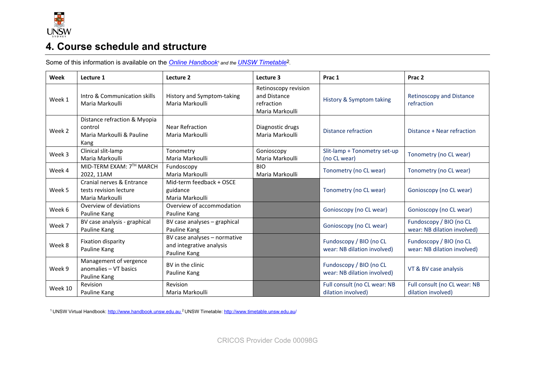

## **4. Course schedule and structure**

Some of this information is available on the **Online Handbook**<sup>1</sup> and the **UNSW Timetable**<sup>2</sup>.

| Week    | Lecture 1                                                                    | Lecture 2                                                                | Lecture 3                                                             | Prac 1                                                 | Prac <sub>2</sub>                                      |
|---------|------------------------------------------------------------------------------|--------------------------------------------------------------------------|-----------------------------------------------------------------------|--------------------------------------------------------|--------------------------------------------------------|
| Week 1  | Intro & Communication skills<br>Maria Markoulli                              | History and Symptom-taking<br>Maria Markoulli                            | Retinoscopy revision<br>and Distance<br>refraction<br>Maria Markoulli | History & Symptom taking                               | <b>Retinoscopy and Distance</b><br>refraction          |
| Week 2  | Distance refraction & Myopia<br>control<br>Maria Markoulli & Pauline<br>Kang | <b>Near Refraction</b><br>Maria Markoulli                                | Diagnostic drugs<br>Maria Markoulli                                   | Distance refraction                                    | Distance + Near refraction                             |
| Week 3  | Clinical slit-lamp<br>Maria Markoulli                                        | Tonometry<br>Maria Markoulli                                             | Gonioscopy<br>Maria Markoulli                                         | Slit-lamp + Tonometry set-up<br>(no CL wear)           | Tonometry (no CL wear)                                 |
| Week 4  | MID-TERM EXAM: 7TH MARCH<br>2022, 11AM                                       | Fundoscopy<br>Maria Markoulli                                            | <b>BIO</b><br>Maria Markoulli                                         | Tonometry (no CL wear)                                 | Tonometry (no CL wear)                                 |
| Week 5  | Cranial nerves & Entrance<br>tests revision lecture<br>Maria Markoulli       | Mid-term feedback + OSCE<br>guidance<br>Maria Markoulli                  |                                                                       | Tonometry (no CL wear)                                 | Gonioscopy (no CL wear)                                |
| Week 6  | Overview of deviations<br>Pauline Kang                                       | Overview of accommodation<br>Pauline Kang                                |                                                                       | Gonioscopy (no CL wear)                                | Gonioscopy (no CL wear)                                |
| Week 7  | BV case analysis - graphical<br>Pauline Kang                                 | BV case analyses - graphical<br>Pauline Kang                             |                                                                       | Gonioscopy (no CL wear)                                | Fundoscopy / BIO (no CL<br>wear: NB dilation involved) |
| Week 8  | Fixation disparity<br>Pauline Kang                                           | BV case analyses - normative<br>and integrative analysis<br>Pauline Kang |                                                                       | Fundoscopy / BIO (no CL<br>wear: NB dilation involved) | Fundoscopy / BIO (no CL<br>wear: NB dilation involved) |
| Week 9  | Management of vergence<br>anomalies - VT basics<br>Pauline Kang              | BV in the clinic<br>Pauline Kang                                         |                                                                       | Fundoscopy / BIO (no CL<br>wear: NB dilation involved) | VT & BV case analysis                                  |
| Week 10 | Revision<br>Pauline Kang                                                     | Revision<br>Maria Markoulli                                              |                                                                       | Full consult (no CL wear: NB<br>dilation involved)     | Full consult (no CL wear: NB<br>dilation involved)     |

1 UNSW Virtual Handbook: http://www.handbook.unsw.edu.au 2 UNSW Timetable[: http://www.timetable.unsw.edu.au/](http://www.timetable.unsw.edu.au/)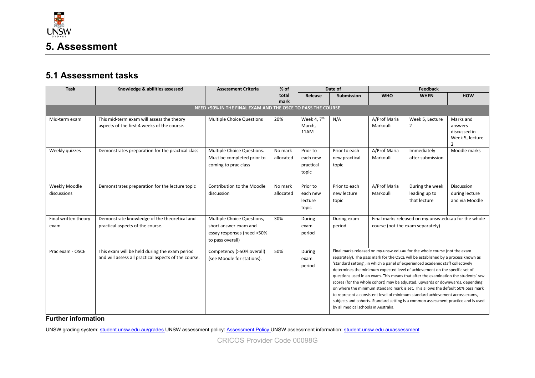

## **5.1 Assessment tasks**

| <b>Task</b>                  | Knowledge & abilities assessed                                                                        | <b>Assessment Criteria</b>                                                                            | $%$ of               | Date of                                    |                                         | Feedback                  |                                                                                                                                                                                                                                                                                                                                                                                                                                                                                                                                                                                                                                                                                                                                                                     |                                                         |
|------------------------------|-------------------------------------------------------------------------------------------------------|-------------------------------------------------------------------------------------------------------|----------------------|--------------------------------------------|-----------------------------------------|---------------------------|---------------------------------------------------------------------------------------------------------------------------------------------------------------------------------------------------------------------------------------------------------------------------------------------------------------------------------------------------------------------------------------------------------------------------------------------------------------------------------------------------------------------------------------------------------------------------------------------------------------------------------------------------------------------------------------------------------------------------------------------------------------------|---------------------------------------------------------|
|                              |                                                                                                       |                                                                                                       | total                | Submission<br>Release                      |                                         | <b>WHO</b>                | <b>WHEN</b>                                                                                                                                                                                                                                                                                                                                                                                                                                                                                                                                                                                                                                                                                                                                                         | <b>HOW</b>                                              |
|                              |                                                                                                       |                                                                                                       | mark                 |                                            |                                         |                           |                                                                                                                                                                                                                                                                                                                                                                                                                                                                                                                                                                                                                                                                                                                                                                     |                                                         |
|                              |                                                                                                       | NEED >50% IN THE FINAL EXAM AND THE OSCE TO PASS THE COURSE                                           |                      |                                            |                                         |                           |                                                                                                                                                                                                                                                                                                                                                                                                                                                                                                                                                                                                                                                                                                                                                                     |                                                         |
| Mid-term exam                | This mid-term exam will assess the theory<br>aspects of the first 4 weeks of the course.              | <b>Multiple Choice Questions</b>                                                                      | 20%                  | Week 4, 7 <sup>th</sup><br>March,<br>11AM  | N/A                                     | A/Prof Maria<br>Markoulli | Week 5, Lecture<br>$\overline{2}$                                                                                                                                                                                                                                                                                                                                                                                                                                                                                                                                                                                                                                                                                                                                   | Marks and<br>answers<br>discussed in<br>Week 5, lecture |
| Weekly quizzes               | Demonstrates preparation for the practical class                                                      | Multiple Choice Questions.<br>Must be completed prior to<br>coming to prac class                      | No mark<br>allocated | Prior to<br>each new<br>practical<br>topic | Prior to each<br>new practical<br>topic | A/Prof Maria<br>Markoulli | Immediately<br>after submission                                                                                                                                                                                                                                                                                                                                                                                                                                                                                                                                                                                                                                                                                                                                     | Moodle marks                                            |
| Weekly Moodle<br>discussions | Demonstrates preparation for the lecture topic                                                        | Contribution to the Moodle<br>discussion                                                              | No mark<br>allocated | Prior to<br>each new<br>lecture<br>topic   | Prior to each<br>new lecture<br>topic   | A/Prof Maria<br>Markoulli | During the week<br>leading up to<br>that lecture                                                                                                                                                                                                                                                                                                                                                                                                                                                                                                                                                                                                                                                                                                                    | <b>Discussion</b><br>during lecture<br>and via Moodle   |
| Final written theory<br>exam | Demonstrate knowledge of the theoretical and<br>practical aspects of the course.                      | Multiple Choice Questions,<br>short answer exam and<br>essay responses (need >50%<br>to pass overall) | 30%                  | During<br>exam<br>period                   | During exam<br>period                   |                           | Final marks released on my.unsw.edu.au for the whole<br>course (not the exam separately)                                                                                                                                                                                                                                                                                                                                                                                                                                                                                                                                                                                                                                                                            |                                                         |
| Prac exam - OSCE             | This exam will be held during the exam period<br>and will assess all practical aspects of the course. | Competency (>50% overall)<br>(see Moodle for stations).                                               | 50%                  | During<br>exam<br>period                   | by all medical schools in Australia.    |                           | Final marks released on my.unsw.edu.au for the whole course (not the exam<br>separately). The pass mark for the OSCE will be established by a process known as<br>'standard setting', in which a panel of experienced academic staff collectively<br>determines the minimum expected level of achievement on the specific set of<br>questions used in an exam. This means that after the examination the students' raw<br>scores (for the whole cohort) may be adjusted, upwards or downwards, depending<br>on where the minimum standard mark is set. This allows the default 50% pass mark<br>to represent a consistent level of minimum standard achievement across exams,<br>subjects and cohorts. Standard setting is a common assessment practice and is used |                                                         |

**Further information**

UNSW grading system[: student.unsw.edu.au/grades](https://student.unsw.edu.au/grades)\_UNSW assessment policy[: Assessment Policy](https://www.gs.unsw.edu.au/policy/documents/assessmentpolicy.pdf)\_UNSW assessment information[: student.unsw.edu.au/assessment](https://student.unsw.edu.au/assessment)

CRICOS Provider Code 00098G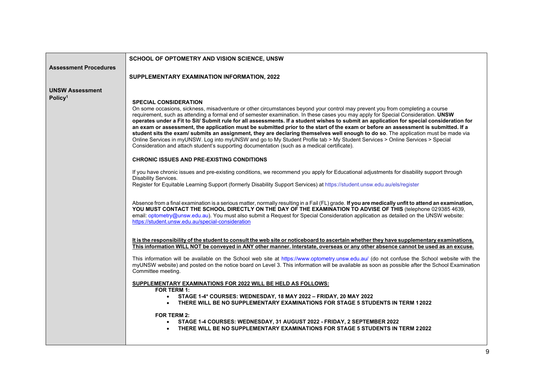|                                               | SCHOOL OF OPTOMETRY AND VISION SCIENCE, UNSW                                                                                                                                                                                                                                                                                                                                                                                                                                                                                                                                                                                                                                                                                                                                                                                                                                                                                                                                                                                                                                                                                                                                                                                                                                                                                                                                                                                                                                                                                                                                                                                                                                                                                                                                                                                                                                                                                                                                                                                                                                                                                                                                                                                                                                                                                                                                                                                                                                                                                                                                                                                                                                                                                                                                                                                                                                    |
|-----------------------------------------------|---------------------------------------------------------------------------------------------------------------------------------------------------------------------------------------------------------------------------------------------------------------------------------------------------------------------------------------------------------------------------------------------------------------------------------------------------------------------------------------------------------------------------------------------------------------------------------------------------------------------------------------------------------------------------------------------------------------------------------------------------------------------------------------------------------------------------------------------------------------------------------------------------------------------------------------------------------------------------------------------------------------------------------------------------------------------------------------------------------------------------------------------------------------------------------------------------------------------------------------------------------------------------------------------------------------------------------------------------------------------------------------------------------------------------------------------------------------------------------------------------------------------------------------------------------------------------------------------------------------------------------------------------------------------------------------------------------------------------------------------------------------------------------------------------------------------------------------------------------------------------------------------------------------------------------------------------------------------------------------------------------------------------------------------------------------------------------------------------------------------------------------------------------------------------------------------------------------------------------------------------------------------------------------------------------------------------------------------------------------------------------------------------------------------------------------------------------------------------------------------------------------------------------------------------------------------------------------------------------------------------------------------------------------------------------------------------------------------------------------------------------------------------------------------------------------------------------------------------------------------------------|
| <b>Assessment Procedures</b>                  |                                                                                                                                                                                                                                                                                                                                                                                                                                                                                                                                                                                                                                                                                                                                                                                                                                                                                                                                                                                                                                                                                                                                                                                                                                                                                                                                                                                                                                                                                                                                                                                                                                                                                                                                                                                                                                                                                                                                                                                                                                                                                                                                                                                                                                                                                                                                                                                                                                                                                                                                                                                                                                                                                                                                                                                                                                                                                 |
|                                               | SUPPLEMENTARY EXAMINATION INFORMATION, 2022                                                                                                                                                                                                                                                                                                                                                                                                                                                                                                                                                                                                                                                                                                                                                                                                                                                                                                                                                                                                                                                                                                                                                                                                                                                                                                                                                                                                                                                                                                                                                                                                                                                                                                                                                                                                                                                                                                                                                                                                                                                                                                                                                                                                                                                                                                                                                                                                                                                                                                                                                                                                                                                                                                                                                                                                                                     |
| <b>UNSW Assessment</b><br>Policy <sup>1</sup> | <b>SPECIAL CONSIDERATION</b><br>On some occasions, sickness, misadventure or other circumstances beyond your control may prevent you from completing a course<br>requirement, such as attending a formal end of semester examination. In these cases you may apply for Special Consideration. UNSW<br>operates under a Fit to Sit/ Submit rule for all assessments. If a student wishes to submit an application for special consideration for<br>an exam or assessment, the application must be submitted prior to the start of the exam or before an assessment is submitted. If a<br>student sits the exam/ submits an assignment, they are declaring themselves well enough to do so. The application must be made via<br>Online Services in myUNSW. Log into myUNSW and go to My Student Profile tab > My Student Services > Online Services > Special<br>Consideration and attach student's supporting documentation (such as a medical certificate).<br><b>CHRONIC ISSUES AND PRE-EXISTING CONDITIONS</b><br>If you have chronic issues and pre-existing conditions, we recommend you apply for Educational adjustments for disability support through<br>Disability Services.<br>Register for Equitable Learning Support (formerly Disability Support Services) at https://student.unsw.edu.au/els/register<br>Absence from a final examination is a serious matter, normally resulting in a Fail (FL) grade. If you are medically unfit to attend an examination,<br>YOU MUST CONTACT THE SCHOOL DIRECTLY ON THE DAY OF THE EXAMINATION TO ADVISE OF THIS (telephone 029385 4639,<br>email: optometry@unsw.edu.au). You must also submit a Request for Special Consideration application as detailed on the UNSW website:<br>https://student.unsw.edu.au/special-consideration<br>It is the responsibility of the student to consult the web site or noticeboard to ascertain whether they have supplementary examinations.<br>This information WILL NOT be conveyed in ANY other manner. Interstate, overseas or any other absence cannot be used as an excuse.<br>This information will be available on the School web site at https://www.optometry.unsw.edu.au/ (do not confuse the School website with the<br>myUNSW website) and posted on the notice board on Level 3. This information will be available as soon as possible after the School Examination<br>Committee meeting.<br><b>SUPPLEMENTARY EXAMINATIONS FOR 2022 WILL BE HELD AS FOLLOWS:</b><br><b>FOR TERM 1:</b><br>STAGE 1-4* COURSES: WEDNESDAY, 18 MAY 2022 - FRIDAY, 20 MAY 2022<br>$\bullet$<br>• THERE WILL BE NO SUPPLEMENTARY EXAMINATIONS FOR STAGE 5 STUDENTS IN TERM 12022<br><b>FOR TERM 2:</b><br>STAGE 1-4 COURSES: WEDNESDAY, 31 AUGUST 2022 - FRIDAY, 2 SEPTEMBER 2022<br>$\bullet$<br>THERE WILL BE NO SUPPLEMENTARY EXAMINATIONS FOR STAGE 5 STUDENTS IN TERM 22022<br>$\bullet$ |
|                                               |                                                                                                                                                                                                                                                                                                                                                                                                                                                                                                                                                                                                                                                                                                                                                                                                                                                                                                                                                                                                                                                                                                                                                                                                                                                                                                                                                                                                                                                                                                                                                                                                                                                                                                                                                                                                                                                                                                                                                                                                                                                                                                                                                                                                                                                                                                                                                                                                                                                                                                                                                                                                                                                                                                                                                                                                                                                                                 |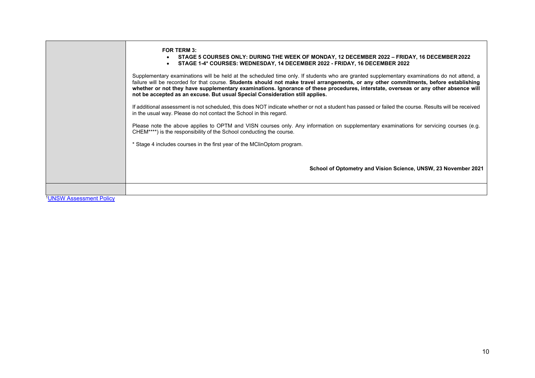|                               | <b>FOR TERM 3:</b><br>STAGE 5 COURSES ONLY: DURING THE WEEK OF MONDAY, 12 DECEMBER 2022 - FRIDAY, 16 DECEMBER 2022<br>STAGE 1-4* COURSES: WEDNESDAY, 14 DECEMBER 2022 - FRIDAY, 16 DECEMBER 2022                                                                                                                                                                                                                                                                                                           |
|-------------------------------|------------------------------------------------------------------------------------------------------------------------------------------------------------------------------------------------------------------------------------------------------------------------------------------------------------------------------------------------------------------------------------------------------------------------------------------------------------------------------------------------------------|
|                               | Supplementary examinations will be held at the scheduled time only. If students who are granted supplementary examinations do not attend, a<br>failure will be recorded for that course. Students should not make travel arrangements, or any other commitments, before establishing<br>whether or not they have supplementary examinations. Ignorance of these procedures, interstate, overseas or any other absence will<br>not be accepted as an excuse. But usual Special Consideration still applies. |
|                               | If additional assessment is not scheduled, this does NOT indicate whether or not a student has passed or failed the course. Results will be received<br>in the usual way. Please do not contact the School in this regard.                                                                                                                                                                                                                                                                                 |
|                               | Please note the above applies to OPTM and VISN courses only. Any information on supplementary examinations for servicing courses (e.g.<br>CHEM****) is the responsibility of the School conducting the course.                                                                                                                                                                                                                                                                                             |
|                               | * Stage 4 includes courses in the first year of the MClinOptom program.                                                                                                                                                                                                                                                                                                                                                                                                                                    |
|                               | School of Optometry and Vision Science, UNSW, 23 November 2021                                                                                                                                                                                                                                                                                                                                                                                                                                             |
|                               |                                                                                                                                                                                                                                                                                                                                                                                                                                                                                                            |
| <b>UNSW Assessment Policy</b> |                                                                                                                                                                                                                                                                                                                                                                                                                                                                                                            |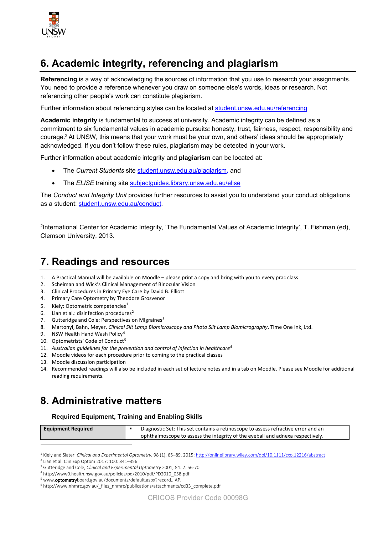

## **6. Academic integrity, referencing and plagiarism**

**Referencing** is a way of acknowledging the sources of information that you use to research your assignments. You need to provide a reference whenever you draw on someone else's words, ideas or research. Not referencing other people's work can constitute plagiarism.

Further information about referencing styles can be located at [student.unsw.edu.au/referencing](https://student.unsw.edu.au/referencing)

**Academic integrity** is fundamental to success at university. Academic integrity can be defined as a commitment to six fundamental values in academic pursuits**:** honesty, trust, fairness, respect, responsibility and courage.2 At UNSW, this means that your work must be your own, and others' ideas should be appropriately acknowledged. If you don't follow these rules, plagiarism may be detected in your work.

Further information about academic integrity and **plagiarism** can be located at:

- The *Current Students* site [student.unsw.edu.au/plagiarism](https://student.unsw.edu.au/plagiarism)*,* and
- The *ELISE* training site [subjectguides.library.unsw.edu.au/elise](http://subjectguides.library.unsw.edu.au/elise)

The *Conduct and Integrity Unit* provides further resources to assist you to understand your conduct obligations as a student: [student.unsw.edu.au/conduct.](https://student.unsw.edu.au/conduct)

<sup>2</sup>International Center for Academic Integrity, 'The Fundamental Values of Academic Integrity', T. Fishman (ed), Clemson University, 2013.

## **7. Readings and resources**

- 1. A Practical Manual will be available on Moodle please print a copy and bring with you to every prac class
- 2. Scheiman and Wick's Clinical Management of Binocular Vision
- 3. Clinical Procedures in Primary Eye Care by David B. Elliott
- 4. Primary Care Optometry by Theodore Grosvenor
- 5. Kiely: Optometric competencies<sup>[1](#page-10-0)</sup>
- 6. Lian et al.: disinfection procedures<sup>[2](#page-10-1)</sup>
- 7. Gutteridge and Cole: Perspectives on MIgraines<sup>[3](#page-10-2)</sup>
- 8. Martonyi, Bahn, Meyer, *Clinical Slit Lamp Biomicroscopy and Photo Slit Lamp Biomicrography*, Time One Ink, Ltd.
- 9. NSW Health Hand Wash Policy<sup>[4](#page-10-3)</sup>
- 10. Optometrists' Code of Conduct<sup>[5](#page-10-4)</sup>
- 11. *Australian guidelines for the prevention and control of infection in healthcare[6](#page-10-5)*
- 12. Moodle videos for each procedure prior to coming to the practical classes
- 13. Moodle discussion participation
- 14. Recommended readings will also be included in each set of lecture notes and in a tab on Moodle. Please see Moodle for additional reading requirements.

## **8. Administrative matters**

#### **Required Equipment, Training and Enabling Skills**

Diagnostic Set: This set contains a retinoscope to assess refractive error and an ophthalmoscope to assess the integrity of the eyeball and adnexa respectively.

<span id="page-10-0"></span><sup>1</sup> Kiely and Slater, *Clinical and Experimental Optometry*, 98 (1), 65–89, 2015[: http://onlinelibrary.wiley.com/doi/10.1111/cxo.12216/abstract](http://onlinelibrary.wiley.com/doi/10.1111/cxo.12216/abstract)

<span id="page-10-1"></span><sup>2</sup> Lian et al. Clin Exp Optom 2017; 100: 341–356

<span id="page-10-2"></span><sup>3</sup> Gutteridge and Cole, *Clinical and Experimental Optometry* 2001; 84: 2: 56-70

<span id="page-10-3"></span><sup>4</sup> http://www0.health.nsw.gov.au/policies/pd/2010/pdf/PD2010\_058.pdf

<span id="page-10-4"></span><sup>&</sup>lt;sup>5</sup> www.**optometry**board.gov.au/documents/default.aspx?record...AP.

<span id="page-10-5"></span><sup>6</sup> http://www.nhmrc.gov.au/\_files\_nhmrc/publications/attachments/cd33\_complete.pdf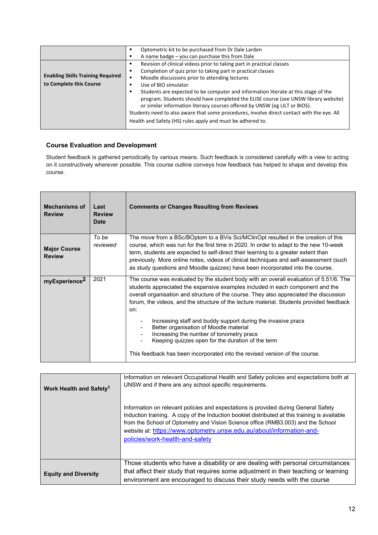|                                          | Optometric kit to be purchased from Dr Dale Larden                                         |
|------------------------------------------|--------------------------------------------------------------------------------------------|
|                                          | A name badge - you can purchase this from Dale                                             |
|                                          | Revision of clinical videos prior to taking part in practical classes                      |
|                                          | Completion of quiz prior to taking part in practical classes<br>п                          |
| <b>Enabling Skills Training Required</b> | Moodle discussions prior to attending lectures                                             |
| to Complete this Course                  | Use of BIO simulator                                                                       |
|                                          | Students are expected to be computer and information literate at this stage of the         |
|                                          | program. Students should have completed the ELISE course (see UNSW library website)        |
|                                          | or similar information literacy courses offered by UNSW (eg LILT or BIOS).                 |
|                                          | Students need to also aware that some procedures, involve direct contact with the eye. All |
|                                          | Health and Safety (HS) rules apply and must be adhered to.                                 |
|                                          |                                                                                            |

#### **Course Evaluation and Development**

Student feedback is gathered periodically by various means. Such feedback is considered carefully with a view to acting on it constructively wherever possible. This course outline conveys how feedback has helped to shape and develop this course.

| <b>Mechanisms of</b><br><b>Review</b> | Last<br><b>Review</b><br>Date | <b>Comments or Changes Resulting from Reviews</b>                                                                                                                                                                                                                                                                                                                                                                                                                                                                                                                                                                                                               |
|---------------------------------------|-------------------------------|-----------------------------------------------------------------------------------------------------------------------------------------------------------------------------------------------------------------------------------------------------------------------------------------------------------------------------------------------------------------------------------------------------------------------------------------------------------------------------------------------------------------------------------------------------------------------------------------------------------------------------------------------------------------|
| <b>Major Course</b><br><b>Review</b>  | To be<br>reviewed             | The move from a BSc/BOptom to a BVis Sci/MClinOpt resulted in the creation of this<br>course, which was run for the first time in 2020. In order to adapt to the new 10-week<br>term, students are expected to self-direct their learning to a greater extent than<br>previously. More online notes, videos of clinical techniques and self-assessment (such<br>as study questions and Moodle quizzes) have been incorporated into the course.                                                                                                                                                                                                                  |
| myExperience <sup>2</sup>             | 2021                          | The course was evaluated by the student body with an overall evaluation of 5.51/6. The<br>students appreciated the expansive examples included in each component and the<br>overall organisation and structure of the course. They also appreciated the discussion<br>forum, the videos, and the structure of the lecture material. Students provided feedback<br>on:<br>Increasing staff and buddy support during the invasive pracs<br>Better organisation of Moodle material<br>Increasing the number of tonometry pracs<br>Keeping quizzes open for the duration of the term<br>This feedback has been incorporated into the revised version of the course. |

| Work Health and Safety <sup>3</sup> | Information on relevant Occupational Health and Safety policies and expectations both at<br>UNSW and if there are any school specific requirements.                                                                                                                                                                                                                                 |  |  |
|-------------------------------------|-------------------------------------------------------------------------------------------------------------------------------------------------------------------------------------------------------------------------------------------------------------------------------------------------------------------------------------------------------------------------------------|--|--|
|                                     | Information on relevant policies and expectations is provided during General Safety<br>Induction training. A copy of the Induction booklet distributed at this training is available<br>from the School of Optometry and Vision Science office (RMB3.003) and the School<br>website at: https://www.optometry.unsw.edu.au/about/information-and-<br>policies/work-health-and-safety |  |  |
| <b>Equity and Diversity</b>         | Those students who have a disability or are dealing with personal circumstances<br>that affect their study that requires some adjustment in their teaching or learning<br>environment are encouraged to discuss their study needs with the course                                                                                                                                   |  |  |